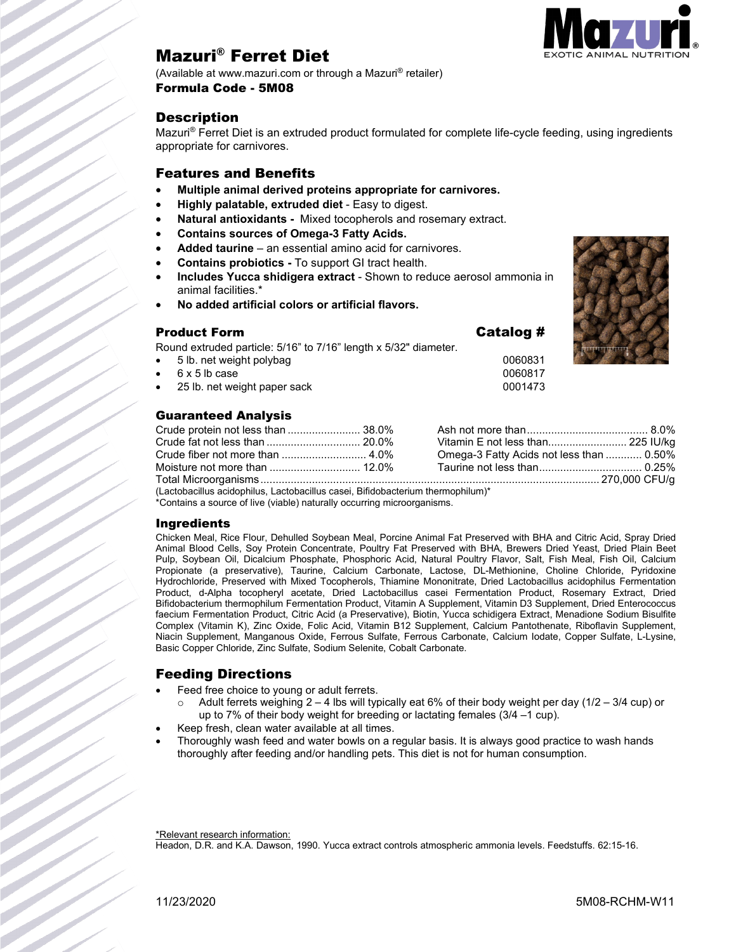

# Mazuri® Ferret Diet

(Available at www.mazuri.com or through a Mazuri® retailer) Formula Code - 5M08

### **Description**

Mazuri® Ferret Diet is an extruded product formulated for complete life-cycle feeding, using ingredients appropriate for carnivores.

### Features and Benefits

- **Multiple animal derived proteins appropriate for carnivores.**
- **Highly palatable, extruded diet** Easy to digest.
- **Natural antioxidants -** Mixed tocopherols and rosemary extract.
- **Contains sources of Omega-3 Fatty Acids.**
- **Added taurine**  an essential amino acid for carnivores.
- **Contains probiotics -** To support GI tract health.
- **Includes Yucca shidigera extract** Shown to reduce aerosol ammonia in animal facilities.\*
- **No added artificial colors or artificial flavors.**

### Product Form  $\qquad \qquad \qquad$  Catalog #

Round extruded particle: 5/16" to 7/16" length x 5/32" diameter.

- 5 lb. net weight polybag 0060831
- 6 x 5 lb case 0060817
- 25 lb. net weight paper sack 0001473

### Guaranteed Analysis

|                                                                                 |  | Vitamin E not less than 225 IU/kg        |  |  |
|---------------------------------------------------------------------------------|--|------------------------------------------|--|--|
|                                                                                 |  | Omega-3 Fatty Acids not less than  0.50% |  |  |
|                                                                                 |  |                                          |  |  |
|                                                                                 |  |                                          |  |  |
| (Lactobacillus acidophilus, Lactobacillus casei, Bifidobacterium thermophilum)* |  |                                          |  |  |

\*Contains a source of live (viable) naturally occurring microorganisms.

### Ingredients

Chicken Meal, Rice Flour, Dehulled Soybean Meal, Porcine Animal Fat Preserved with BHA and Citric Acid, Spray Dried Animal Blood Cells, Soy Protein Concentrate, Poultry Fat Preserved with BHA, Brewers Dried Yeast, Dried Plain Beet Pulp, Soybean Oil, Dicalcium Phosphate, Phosphoric Acid, Natural Poultry Flavor, Salt, Fish Meal, Fish Oil, Calcium Propionate (a preservative), Taurine, Calcium Carbonate, Lactose, DL-Methionine, Choline Chloride, Pyridoxine Hydrochloride, Preserved with Mixed Tocopherols, Thiamine Mononitrate, Dried Lactobacillus acidophilus Fermentation Product, d-Alpha tocopheryl acetate, Dried Lactobacillus casei Fermentation Product, Rosemary Extract, Dried Bifidobacterium thermophilum Fermentation Product, Vitamin A Supplement, Vitamin D3 Supplement, Dried Enterococcus faecium Fermentation Product, Citric Acid (a Preservative), Biotin, Yucca schidigera Extract, Menadione Sodium Bisulfite Complex (Vitamin K), Zinc Oxide, Folic Acid, Vitamin B12 Supplement, Calcium Pantothenate, Riboflavin Supplement, Niacin Supplement, Manganous Oxide, Ferrous Sulfate, Ferrous Carbonate, Calcium Iodate, Copper Sulfate, L-Lysine, Basic Copper Chloride, Zinc Sulfate, Sodium Selenite, Cobalt Carbonate.

## Feeding Directions

- Feed free choice to young or adult ferrets.
	- Adult ferrets weighing  $2 4$  lbs will typically eat 6% of their body weight per day (1/2 3/4 cup) or up to 7% of their body weight for breeding or lactating females (3/4 –1 cup).
- Keep fresh, clean water available at all times.
- Thoroughly wash feed and water bowls on a regular basis. It is always good practice to wash hands thoroughly after feeding and/or handling pets. This diet is not for human consumption.

Headon, D.R. and K.A. Dawson, 1990. Yucca extract controls atmospheric ammonia levels. Feedstuffs. 62:15-16.